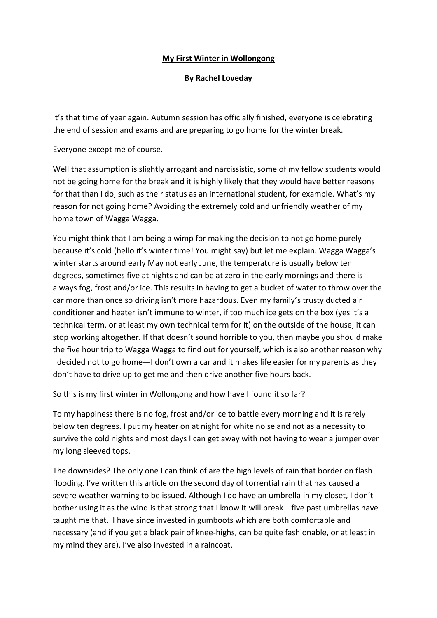## **My First Winter in Wollongong**

**By Rachel Loveday**

It's that time of year again. Autumn session has officially finished, everyone is celebrating the end of session and exams and are preparing to go home for the winter break.

Everyone except me of course.

Well that assumption is slightly arrogant and narcissistic, some of my fellow students would not be going home for the break and it is highly likely that they would have better reasons for that than I do, such as their status as an international student, for example. What's my reason for not going home? Avoiding the extremely cold and unfriendly weather of my home town of Wagga Wagga.

You might think that I am being a wimp for making the decision to not go home purely because it's cold (hello it's winter time! You might say) but let me explain. Wagga Wagga's winter starts around early May not early June, the temperature is usually below ten degrees, sometimes five at nights and can be at zero in the early mornings and there is always fog, frost and/or ice. This results in having to get a bucket of water to throw over the car more than once so driving isn't more hazardous. Even my family's trusty ducted air conditioner and heater isn't immune to winter, if too much ice gets on the box (yes it's a technical term, or at least my own technical term for it) on the outside of the house, it can stop working altogether. If that doesn't sound horrible to you, then maybe you should make the five hour trip to Wagga Wagga to find out for yourself, which is also another reason why I decided not to go home—I don't own a car and it makes life easier for my parents as they don't have to drive up to get me and then drive another five hours back.

So this is my first winter in Wollongong and how have I found it so far?

To my happiness there is no fog, frost and/or ice to battle every morning and it is rarely below ten degrees. I put my heater on at night for white noise and not as a necessity to survive the cold nights and most days I can get away with not having to wear a jumper over my long sleeved tops.

The downsides? The only one I can think of are the high levels of rain that border on flash flooding. I've written this article on the second day of torrential rain that has caused a severe weather warning to be issued. Although I do have an umbrella in my closet, I don't bother using it as the wind is that strong that I know it will break—five past umbrellas have taught me that. I have since invested in gumboots which are both comfortable and necessary (and if you get a black pair of knee-highs, can be quite fashionable, or at least in my mind they are), I've also invested in a raincoat.